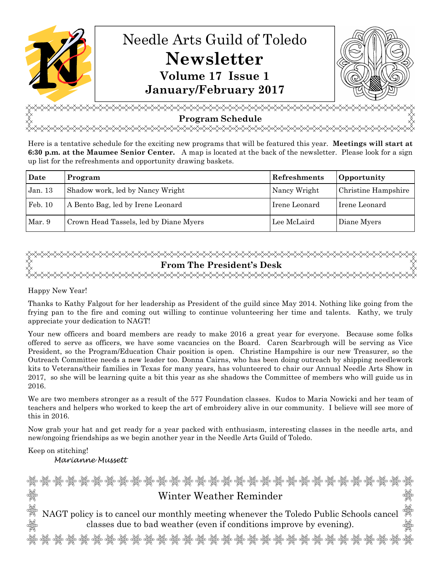

<del></del> **Program Schedule फ**∡∡∡∡∡∡∡∡∡∡∡∡∡∡∡

Here is a tentative schedule for the exciting new programs that will be featured this year. **Meetings will start at 6:30 p.m. at the Maumee Senior Center.** A map is located at the back of the newsletter. Please look for a sign up list for the refreshments and opportunity drawing baskets.

| Date    | Program                                | Refreshments  | Opportunity         |
|---------|----------------------------------------|---------------|---------------------|
| Jan. 13 | Shadow work, led by Nancy Wright       | Nancy Wright  | Christine Hampshire |
| Feb. 10 | A Bento Bag, led by Irene Leonard      | Irene Leonard | Irene Leonard       |
| Mar. 9  | Crown Head Tassels, led by Diane Myers | Lee McLaird   | Diane Myers         |

# <del></del> **From The President's Desk** <del></del>

# Happy New Year!

Thanks to Kathy Falgout for her leadership as President of the guild since May 2014. Nothing like going from the frying pan to the fire and coming out willing to continue volunteering her time and talents. Kathy, we truly appreciate your dedication to NAGT!

Your new officers and board members are ready to make 2016 a great year for everyone. Because some folks offered to serve as officers, we have some vacancies on the Board. Caren Scarbrough will be serving as Vice President, so the Program/Education Chair position is open. Christine Hampshire is our new Treasurer, so the Outreach Committee needs a new leader too. Donna Cairns, who has been doing outreach by shipping needlework kits to Veterans/their families in Texas for many years, has volunteered to chair our Annual Needle Arts Show in 2017, so she will be learning quite a bit this year as she shadows the Committee of members who will guide us in 2016.

We are two members stronger as a result of the 577 Foundation classes. Kudos to Maria Nowicki and her team of teachers and helpers who worked to keep the art of embroidery alive in our community. I believe will see more of this in 2016.

Now grab your hat and get ready for a year packed with enthusiasm, interesting classes in the needle arts, and new/ongoing friendships as we begin another year in the Needle Arts Guild of Toledo.

Keep on stitching! Marianne Mussett

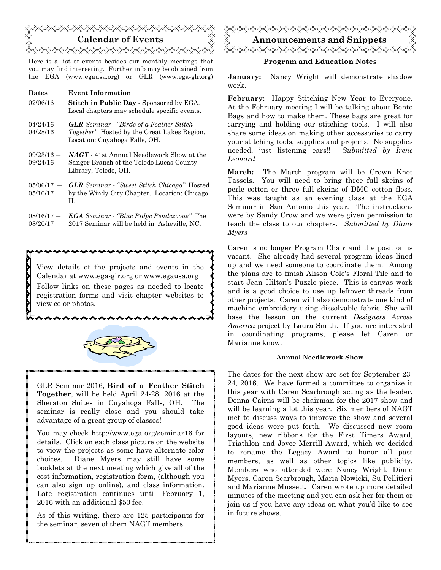

Here is a list of events besides our monthly meetings that you may find interesting. Further info may be obtained from the EGA (www.egausa.org) or GLR (www.ega-glr.org)

#### **Dates Event Information**

**22222222223** 

- 02/06/16 **Stitch in Public Day** Sponsored by EGA. Local chapters may schedule specific events.
- $04/24/16 -$ 04/28/16 *GLR Seminar* - *"Birds of a Feather Stitch Together"* Hosted by the Great Lakes Region. Location: Cuyahoga Falls, OH.
- $09/23/16 -$ 09/24/16 *NAGT* - 41st Annual Needlework Show at the Sanger Branch of the Toledo Lucas County Library, Toledo, OH.
- $05/06/17 -$ 05/10/17 *GLR Seminar* - *"Sweet Stitch Chicago"* Hosted by the Windy City Chapter. Location: Chicago, IL
- 08/16/17 ― 08/20/17 *EGA Seminar - "Blue Ridge Rendezvous"* The 2017 Seminar will be held in Asheville, NC.

,,,,,,,,,,,,,,,,,,,,,,,,

View details of the projects and events in the Calendar at www.ega-glr.org or www.egausa.org Follow links on these pages as needed to locate registration forms and visit chapter websites to view color photos.



\*\*\*\*\*\*\*\*\*\*\*\*\*\*\*\*\*\*\*

GLR Seminar 2016, **Bird of a Feather Stitch Together**, will be held April 24-28, 2016 at the Sheraton Suites in Cuyahoga Falls, OH. The seminar is really close and you should take advantage of a great group of classes!

You may check http://www.ega-org/seminar16 for details. Click on each class picture on the website to view the projects as some have alternate color choices. Diane Myers may still have some booklets at the next meeting which give all of the cost information, registration form, (although you can also sign up online), and class information. Late registration continues until February 1, 2016 with an additional \$50 fee.

As of this writing, there are 125 participants for the seminar, seven of them NAGT members.



## **Program and Education Notes**

**January:** Nancy Wright will demonstrate shadow work.

**February:** Happy Stitching New Year to Everyone. At the February meeting I will be talking about Bento Bags and how to make them. These bags are great for carrying and holding our stitching tools. I will also share some ideas on making other accessories to carry your stitching tools, supplies and projects. No supplies needed, just listening ears!! *Submitted by Irene Leonard*

**March:** The March program will be Crown Knot Tassels. You will need to bring three full skeins of perle cotton or three full skeins of DMC cotton floss. This was taught as an evening class at the EGA Seminar in San Antonio this year. The instructions were by Sandy Crow and we were given permission to teach the class to our chapters. *Submitted by Diane Myers*

Caren is no longer Program Chair and the position is vacant. She already had several program ideas lined up and we need someone to coordinate them. Among the plans are to finish Alison Cole's Floral Tile and to start Jean Hilton's Puzzle piece. This is canvas work and is a good choice to use up leftover threads from other projects. Caren will also demonstrate one kind of machine embroidery using dissolvable fabric. She will base the lesson on the current *Designers Across America* project by Laura Smith. If you are interested in coordinating programs, please let Caren or Marianne know.

#### **Annual Needlework Show**

The dates for the next show are set for September 23- 24, 2016. We have formed a committee to organize it this year with Caren Scarbrough acting as the leader. Donna Cairns will be chairman for the 2017 show and will be learning a lot this year. Six members of NAGT met to discuss ways to improve the show and several good ideas were put forth. We discussed new room layouts, new ribbons for the First Timers Award, Triathlon and Joyce Merrill Award, which we decided to rename the Legacy Award to honor all past members, as well as other topics like publicity. Members who attended were Nancy Wright, Diane Myers, Caren Scarbrough, Maria Nowicki, Su Pellitieri and Marianne Mussett. Caren wrote up more detailed minutes of the meeting and you can ask her for them or join us if you have any ideas on what you'd like to see in future shows.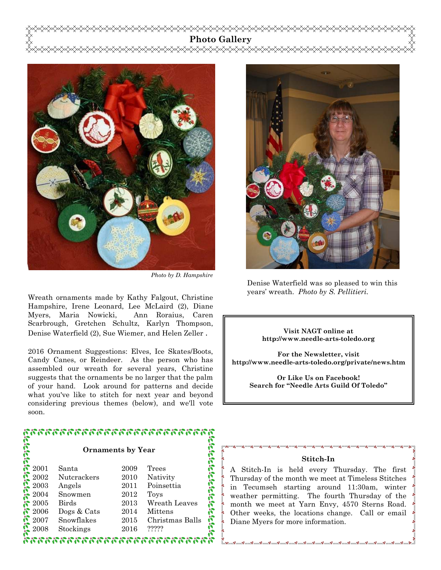# **Photo Gallery**



*Photo by D. Hampshire* 

Wreath ornaments made by Kathy Falgout, Christine Hampshire, Irene Leonard, Lee McLaird (2), Diane Myers, Maria Nowicki, Ann Roraius, Caren Scarbrough, Gretchen Schultz, Karlyn Thompson, Denise Waterfield (2), Sue Wiemer, and Helen Zeller .

2016 Ornament Suggestions: Elves, Ice Skates/Boots, Candy Canes, or Reindeer. As the person who has assembled our wreath for several years, Christine suggests that the ornaments be no larger that the palm of your hand. Look around for patterns and decide what you've like to stitch for next year and beyond considering previous themes (below), and we'll vote soon.

# หารกรรมทางการกรรมทางการทาง **احلاحات**

#### **Ornaments by Year**

| 2001                             | Santa        | 2009 | Trees           |        |
|----------------------------------|--------------|------|-----------------|--------|
|                                  | Nutcrackers  | 2010 | Nativity        |        |
| 2002<br>2003<br>2004<br>2005     | Angels       | 2011 | Poinsettia      |        |
|                                  | Snowmen      | 2012 | Toys            |        |
|                                  | <b>Birds</b> | 2013 | Wreath Leaves   | Ele le |
| $\binom{2006}{2006}$             | Dogs & Cats  | 2014 | Mittens         |        |
| $\frac{\sqrt{2}}{\sqrt{2}}$ 2007 | Snowflakes   | 2015 | Christmas Balls | Ñ      |
|                                  | Stockings    | 2016 | ?????           |        |
|                                  |              |      |                 |        |
|                                  |              |      |                 |        |



Denise Waterfield was so pleased to win this years' wreath. *Photo by S. Pellitieri.* 

#### **Visit NAGT online at http://www.needle-arts-toledo.org**

**For the Newsletter, visit http://www.needle-arts-toledo.org/private/news.htm** 

**Or Like Us on Facebook! Search for "Needle Arts Guild Of Toledo"** 

## **Stitch-In**

A Stitch-In is held every Thursday. The first Thursday of the month we meet at Timeless Stitches in Tecumseh starting around 11:30am, winter weather permitting. The fourth Thursday of the month we meet at Yarn Envy, 4570 Sterns Road. Other weeks, the locations change. Call or email Diane Myers for more information.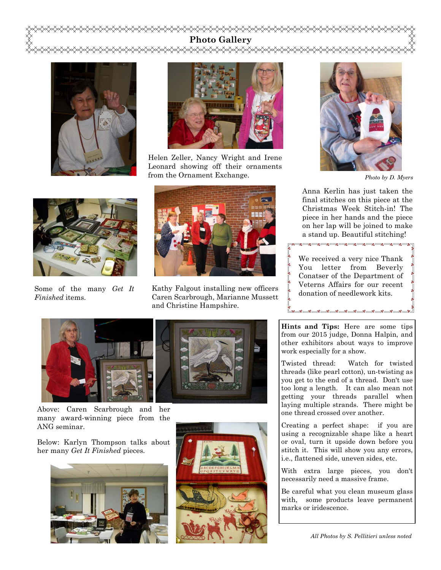# **Photo Gallery**  yxxxxxxx





Helen Zeller, Nancy Wright and Irene Leonard showing off their ornaments from the Ornament Exchange.



Some of the many *Get It Finished* items.



Kathy Falgout installing new officers Caren Scarbrough, Marianne Mussett and Christine Hampshire.





Above: Caren Scarbrough and her many award-winning piece from the ANG seminar.

Below: Karlyn Thompson talks about her many *Get It Finished* pieces*.* 







*Photo by D. Myers* 

Anna Kerlin has just taken the final stitches on this piece at the Christmas Week Stitch-in! The piece in her hands and the piece on her lap will be joined to make a stand up. Beautiful stitching!

.<br>아이 그 아이들은 아이들을 하는 것이다. 이 아이들은 아이들을 하는 것이다.<br>아이들은 아이들은 아이들을 하는 것이 없어요.

We received a very nice Thank You letter from Beverly Conatser of the Department of Veterns Affairs for our recent donation of needlework kits.

**Hints and Tips:** Here are some tips from our 2015 judge, Donna Halpin, and other exhibitors about ways to improve work especially for a show.

್ನೂ ಎಂ ಎಂ ಎಂ ಎಂ ಎಂ

Twisted thread: Watch for twisted threads (like pearl cotton), un-twisting as you get to the end of a thread. Don't use too long a length. It can also mean not getting your threads parallel when laying multiple strands. There might be one thread crossed over another.

Creating a perfect shape: if you are using a recognizable shape like a heart or oval, turn it upside down before you stitch it. This will show you any errors, i.e., flattened side, uneven sides, etc.

With extra large pieces, you don't necessarily need a massive frame.

Be careful what you clean museum glass with, some products leave permanent marks or iridescence.

*All Photos by S. Pellitieri unless noted*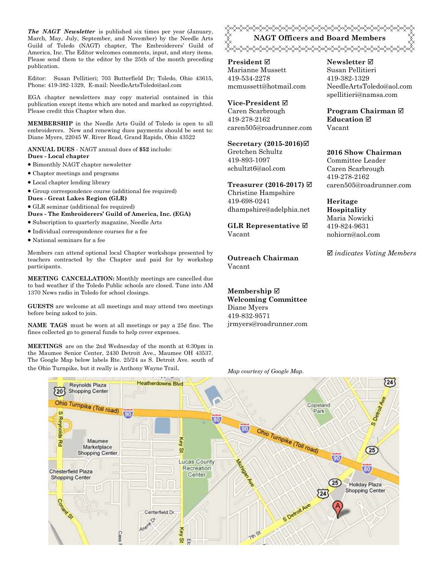*The NAGT Newsletter* is published six times per year (January, March, May, July, September, and November) by the Needle Arts Guild of Toledo (NAGT) chapter, The Embroiderers' Guild of America, Inc. The Editor welcomes comments, input, and story items. Please send them to the editor by the 25th of the month preceding publication.

Editor: Susan Pellitieri; 703 Butterfield Dr; Toledo, Ohio 43615, Phone: 419-382-1329, E-mail: NeedleArtsToledo@aol.com

EGA chapter newsletters may copy material contained in this publication except items which are noted and marked as copyrighted. Please credit this Chapter when due.

**MEMBERSHIP** in the Needle Arts Guild of Toledo is open to all embroiderers. New and renewing dues payments should be sent to: Diane Myers, 22045 W. River Road, Grand Rapids, Ohio 43522

**ANNUAL DUES** - NAGT annual dues of **\$52** include: **Dues - Local chapter** 

- Bimonthly NAGT chapter newsletter
- Chapter meetings and programs
- Local chapter lending library
- Group correspondence course (additional fee required)
- **Dues Great Lakes Region (GLR)**
- GLR seminar (additional fee required)

**Dues - The Embroiderers' Guild of America, Inc. (EGA)** 

- Subscription to quarterly magazine, Needle Arts
- Individual correspondence courses for a fee
- National seminars for a fee

Members can attend optional local Chapter workshops presented by teachers contracted by the Chapter and paid for by workshop participants.

**MEETING CANCELLATION:** Monthly meetings are cancelled due to bad weather if the Toledo Public schools are closed. Tune into AM 1370 News radio in Toledo for school closings.

**GUESTS** are welcome at all meetings and may attend two meetings before being asked to join.

**NAME TAGS** must be worn at all meetings or pay a 25¢ fine. The fines collected go to general funds to help cover expenses.

**MEETINGS** are on the 2nd Wednesday of the month at 6:30pm in the Maumee Senior Center, 2430 Detroit Ave., Maumee OH 43537. The Google Map below labels Rte. 25/24 as S. Detroit Ave. south of <del></del> **NAGT Officers and Board Members**  <del></del>

**President** Marianne Mussett 419-534-2278 mcmussett@hotmail.com

**Vice-President** Caren Scarbrough 419-278-2162 caren505@roadrunner.com

## **Secretary (2015-2016)**

Gretchen Schultz 419-893-1097 schultzt6@aol.com

**Treasurer (2016-2017)** 

Christine Hampshire 419-698-0241 dhampshire@adelphia.net

**GLR Representative**  Vacant

**Outreach Chairman** Vacant

**Membership Welcoming Committee**  Diane Myers 419-832-9571 jrmyers@roadrunner.com

#### **Newsletter**  Susan Pellitieri 419-382-1329 NeedleArtsToledo@aol.com spellitieri@namsa.com

**Program Chairman Education**  Vacant

#### **2016 Show Chairman**  Committee Leader

Caren Scarbrough 419-278-2162 caren505@roadrunner.com

**Heritage Hospitality**  Maria Nowicki 419-824-9631 nohiorn@aol.com

*indicates Voting Members*